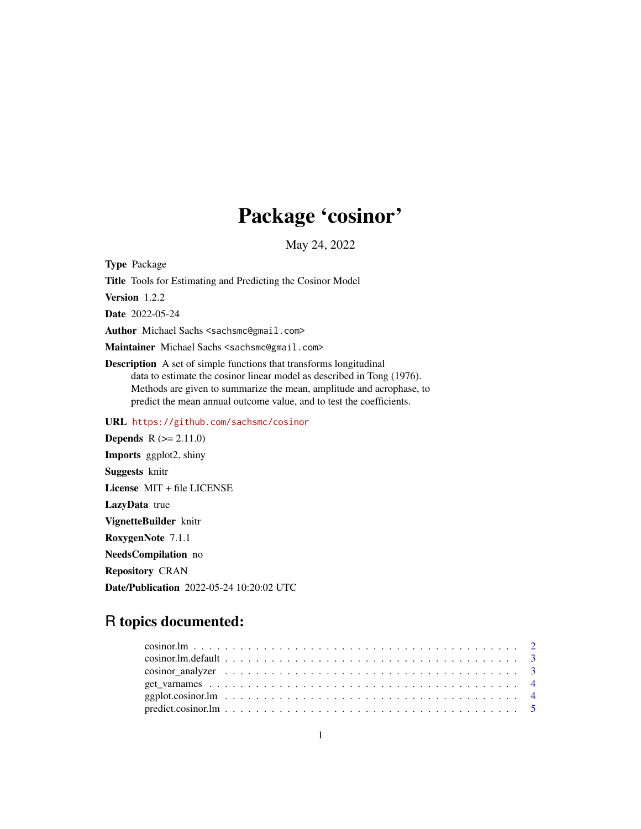# Package 'cosinor'

May 24, 2022

Type Package Title Tools for Estimating and Predicting the Cosinor Model Version 1.2.2 Date 2022-05-24 Author Michael Sachs <sachsmc@gmail.com> Maintainer Michael Sachs <sachsmc@gmail.com> Description A set of simple functions that transforms longitudinal data to estimate the cosinor linear model as described in Tong (1976). Methods are given to summarize the mean, amplitude and acrophase, to predict the mean annual outcome value, and to test the coefficients. URL <https://github.com/sachsmc/cosinor> **Depends**  $R (= 2.11.0)$ 

Imports ggplot2, shiny Suggests knitr License MIT + file LICENSE LazyData true VignetteBuilder knitr RoxygenNote 7.1.1 NeedsCompilation no Repository CRAN Date/Publication 2022-05-24 10:20:02 UTC

## R topics documented: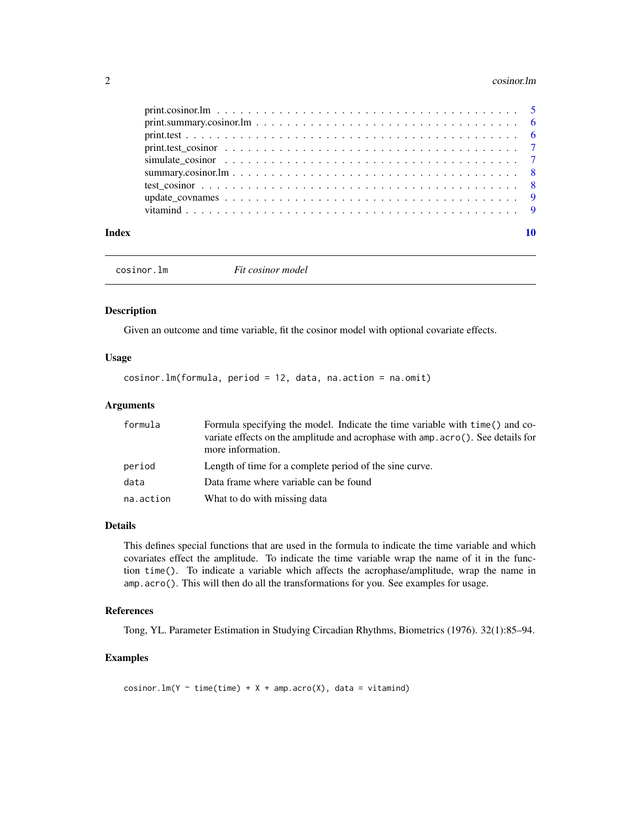#### <span id="page-1-0"></span>2 cosinor. Im

| Index |  |
|-------|--|

cosinor.lm *Fit cosinor model*

#### Description

Given an outcome and time variable, fit the cosinor model with optional covariate effects.

#### Usage

cosinor.lm(formula, period = 12, data, na.action = na.omit)

#### Arguments

| formula   | Formula specifying the model. Indicate the time variable with time () and co-<br>variate effects on the amplitude and acrophase with amp. acro(). See details for |  |
|-----------|-------------------------------------------------------------------------------------------------------------------------------------------------------------------|--|
|           | more information.                                                                                                                                                 |  |
| period    | Length of time for a complete period of the sine curve.                                                                                                           |  |
| data      | Data frame where variable can be found                                                                                                                            |  |
| na.action | What to do with missing data                                                                                                                                      |  |

#### Details

This defines special functions that are used in the formula to indicate the time variable and which covariates effect the amplitude. To indicate the time variable wrap the name of it in the function time(). To indicate a variable which affects the acrophase/amplitude, wrap the name in amp.acro(). This will then do all the transformations for you. See examples for usage.

#### References

Tong, YL. Parameter Estimation in Studying Circadian Rhythms, Biometrics (1976). 32(1):85–94.

#### Examples

cosinor.lm(Y  $\sim$  time(time) + X + amp.acro(X), data = vitamind)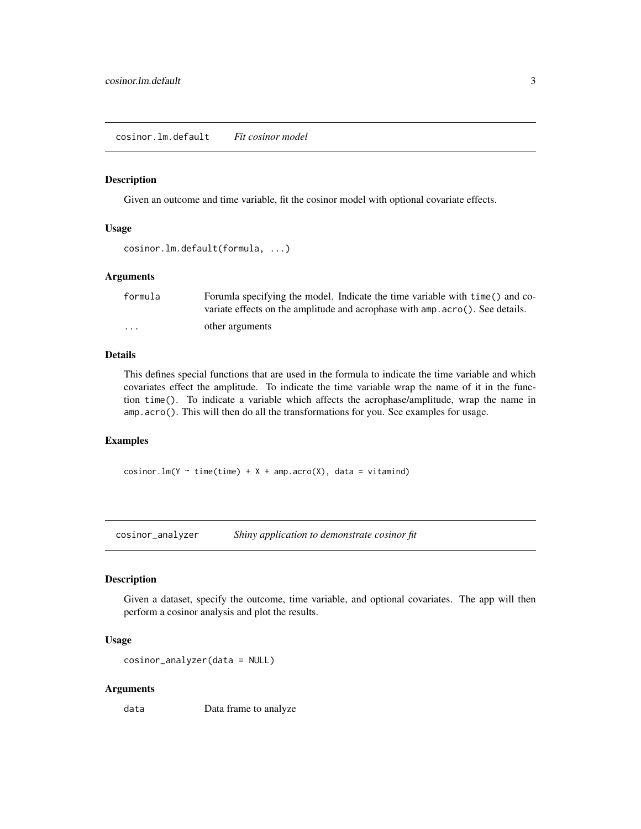#### <span id="page-2-0"></span>Description

Given an outcome and time variable, fit the cosinor model with optional covariate effects.

#### Usage

```
cosinor.lm.default(formula, ...)
```
#### Arguments

| formula  | Forumla specifying the model. Indicate the time variable with time () and co- |
|----------|-------------------------------------------------------------------------------|
|          | variate effects on the amplitude and acrophase with amp. acro(). See details. |
| $\cdots$ | other arguments                                                               |

#### Details

This defines special functions that are used in the formula to indicate the time variable and which covariates effect the amplitude. To indicate the time variable wrap the name of it in the function time(). To indicate a variable which affects the acrophase/amplitude, wrap the name in amp.acro(). This will then do all the transformations for you. See examples for usage.

#### Examples

cosinor.lm(Y  $\sim$  time(time) + X + amp.acro(X), data = vitamind)

cosinor\_analyzer *Shiny application to demonstrate cosinor fit*

#### Description

Given a dataset, specify the outcome, time variable, and optional covariates. The app will then perform a cosinor analysis and plot the results.

#### Usage

```
cosinor_analyzer(data = NULL)
```
#### Arguments

data Data frame to analyze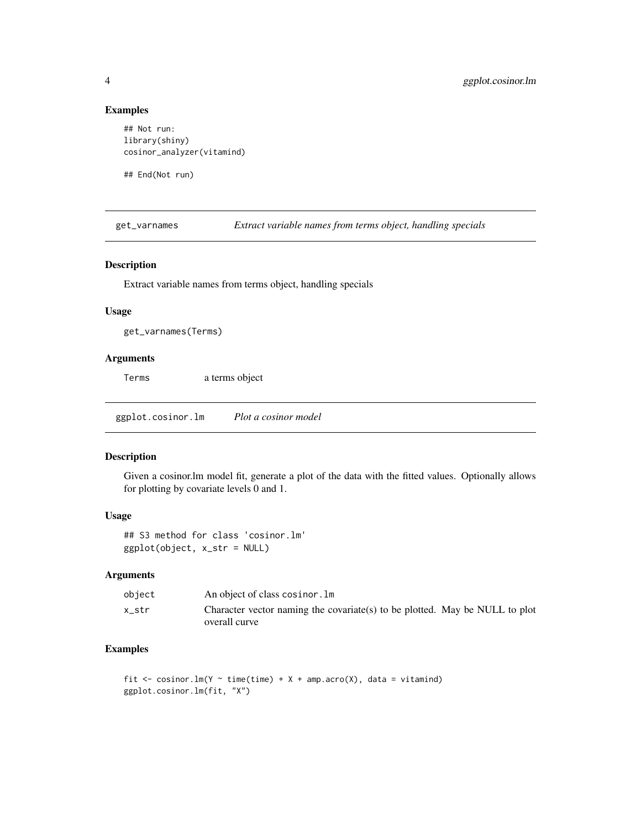#### Examples

```
## Not run:
library(shiny)
cosinor_analyzer(vitamind)
```
## End(Not run)

get\_varnames *Extract variable names from terms object, handling specials*

#### Description

Extract variable names from terms object, handling specials

#### Usage

get\_varnames(Terms)

#### Arguments

Terms a terms object

ggplot.cosinor.lm *Plot a cosinor model*

#### Description

Given a cosinor.lm model fit, generate a plot of the data with the fitted values. Optionally allows for plotting by covariate levels 0 and 1.

#### Usage

## S3 method for class 'cosinor.lm' ggplot(object, x\_str = NULL)

#### Arguments

| object | An object of class cosinor. Im                                                               |
|--------|----------------------------------------------------------------------------------------------|
| x str  | Character vector naming the covariate(s) to be plotted. May be NULL to plot<br>overall curve |

#### Examples

```
fit \le cosinor. lm(Y \sim time(time) + X + amp.acro(X), data = vitamind)
ggplot.cosinor.lm(fit, "X")
```
<span id="page-3-0"></span>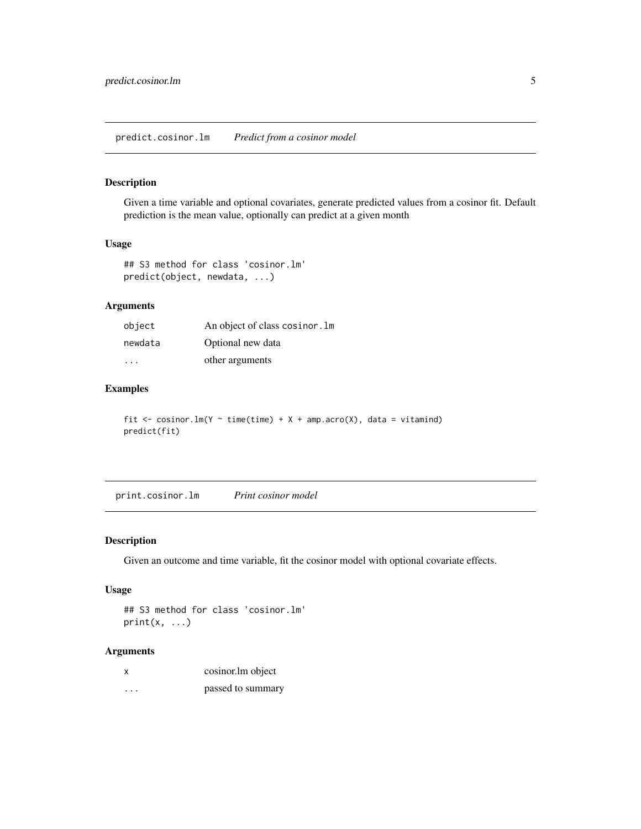#### <span id="page-4-0"></span>Description

Given a time variable and optional covariates, generate predicted values from a cosinor fit. Default prediction is the mean value, optionally can predict at a given month

#### Usage

```
## S3 method for class 'cosinor.lm'
predict(object, newdata, ...)
```
#### Arguments

| object  | An object of class cosinor. Im |
|---------|--------------------------------|
| newdata | Optional new data              |
| .       | other arguments                |

#### Examples

fit  $\le$  cosinor.lm(Y  $\sim$  time(time) + X + amp.acro(X), data = vitamind) predict(fit)

print.cosinor.lm *Print cosinor model*

#### Description

Given an outcome and time variable, fit the cosinor model with optional covariate effects.

#### Usage

```
## S3 method for class 'cosinor.lm'
print(x, \ldots)
```
#### Arguments

| х | cosinor.lm object |
|---|-------------------|
|   |                   |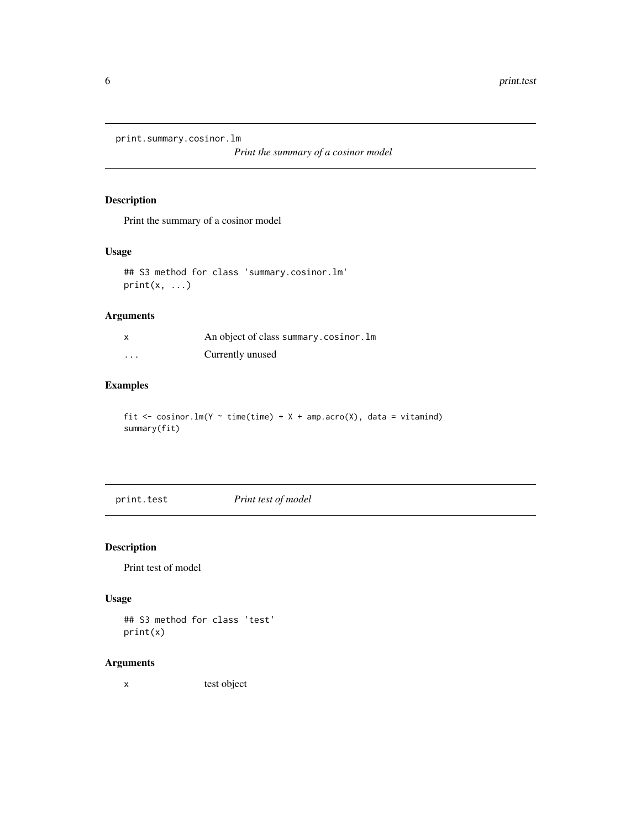<span id="page-5-0"></span>print.summary.cosinor.lm

*Print the summary of a cosinor model*

#### Description

Print the summary of a cosinor model

#### Usage

## S3 method for class 'summary.cosinor.lm'  $print(x, \ldots)$ 

#### Arguments

| $\boldsymbol{\mathsf{x}}$ | An object of class summary.cosinor.lm |
|---------------------------|---------------------------------------|
| $\cdots$                  | Currently unused                      |

#### Examples

fit  $\le$  cosinor.  $lm(Y \sim time(time) + X + amp.acro(X))$ , data = vitamind) summary(fit)

print.test *Print test of model*

### Description

Print test of model

### Usage

## S3 method for class 'test' print(x)

#### Arguments

x test object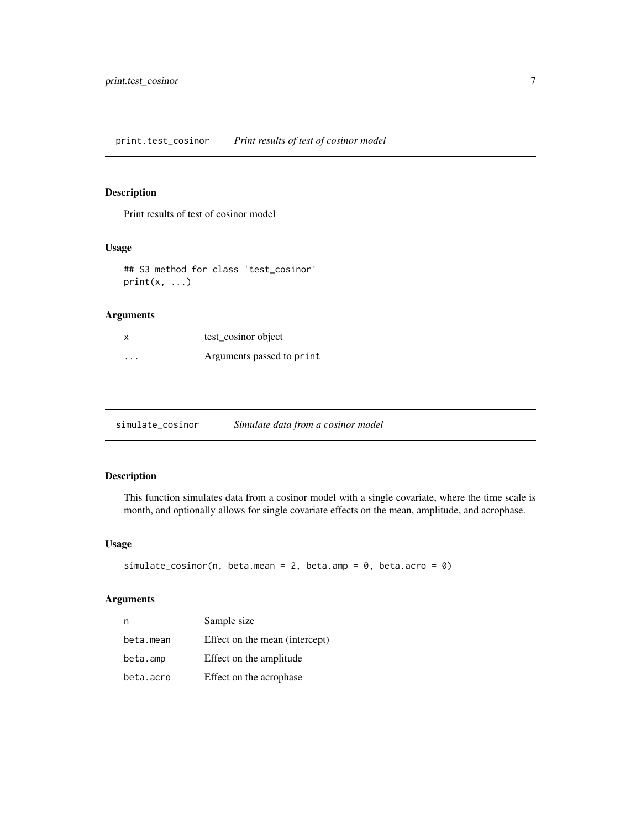<span id="page-6-0"></span>print.test\_cosinor *Print results of test of cosinor model*

#### Description

Print results of test of cosinor model

#### Usage

## S3 method for class 'test\_cosinor' print(x, ...)

#### Arguments

|          | test cosinor object       |
|----------|---------------------------|
| $\cdots$ | Arguments passed to print |

simulate\_cosinor *Simulate data from a cosinor model*

#### Description

This function simulates data from a cosinor model with a single covariate, where the time scale is month, and optionally allows for single covariate effects on the mean, amplitude, and acrophase.

#### Usage

```
simulate_cosinor(n, beta.mean = 2, beta.amp = 0, beta.acro = 0)
```
#### Arguments

| n         | Sample size                    |
|-----------|--------------------------------|
| beta.mean | Effect on the mean (intercept) |
| beta.amp  | Effect on the amplitude        |
| beta.acro | Effect on the acrophase        |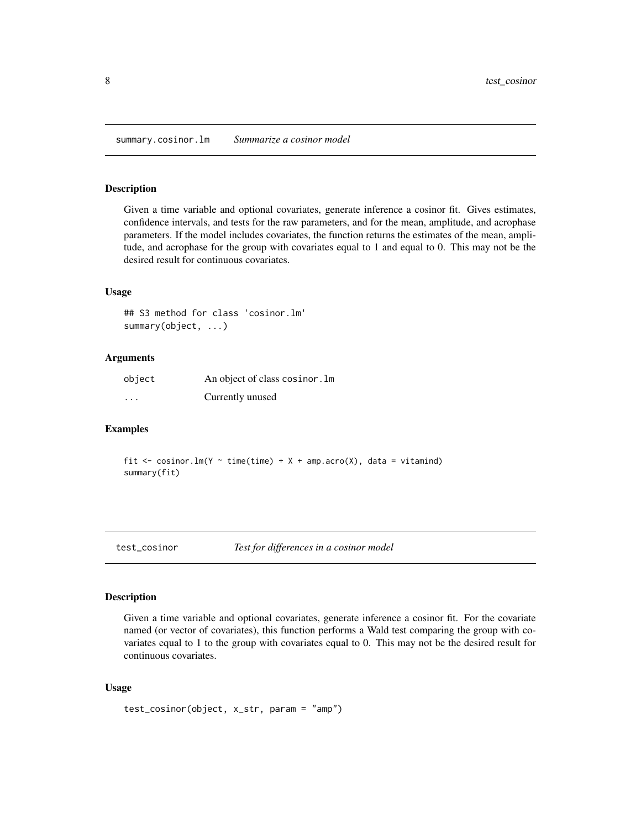<span id="page-7-0"></span>summary.cosinor.lm *Summarize a cosinor model*

#### Description

Given a time variable and optional covariates, generate inference a cosinor fit. Gives estimates, confidence intervals, and tests for the raw parameters, and for the mean, amplitude, and acrophase parameters. If the model includes covariates, the function returns the estimates of the mean, amplitude, and acrophase for the group with covariates equal to 1 and equal to 0. This may not be the desired result for continuous covariates.

#### Usage

```
## S3 method for class 'cosinor.lm'
summary(object, ...)
```
#### Arguments

| object   | An object of class cosinor. Im |
|----------|--------------------------------|
| $\cdots$ | Currently unused               |

#### Examples

fit  $\le$  cosinor.lm(Y  $\sim$  time(time) + X + amp.acro(X), data = vitamind) summary(fit)

test\_cosinor *Test for differences in a cosinor model*

#### Description

Given a time variable and optional covariates, generate inference a cosinor fit. For the covariate named (or vector of covariates), this function performs a Wald test comparing the group with covariates equal to 1 to the group with covariates equal to 0. This may not be the desired result for continuous covariates.

#### Usage

```
test_cosinor(object, x_str, param = "amp")
```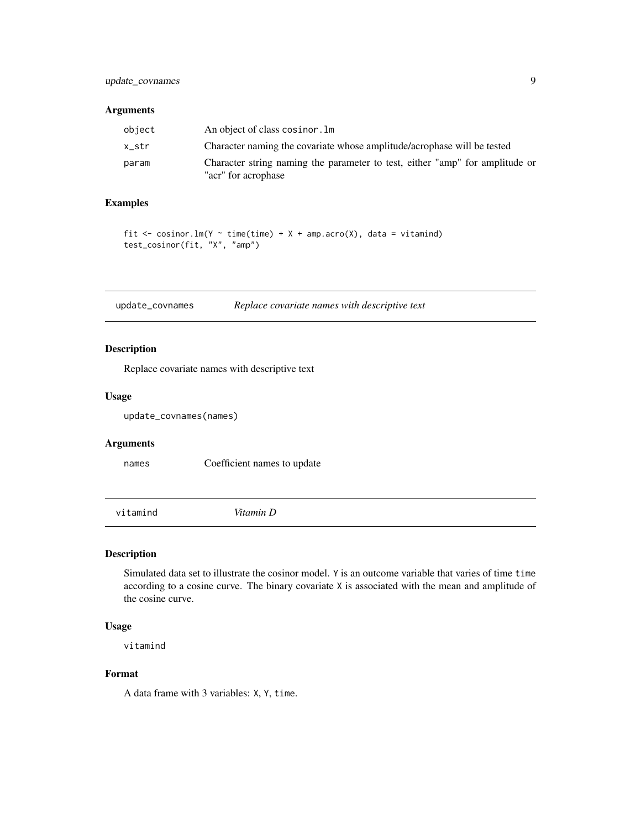#### <span id="page-8-0"></span>Arguments

| object | An object of class cosinor. Im                                                                      |
|--------|-----------------------------------------------------------------------------------------------------|
| x str  | Character naming the covariate whose amplitude/acrophase will be tested                             |
| param  | Character string naming the parameter to test, either "amp" for amplitude or<br>"acr" for acrophase |

#### Examples

```
fit \le cosinor. lm(Y \sim time(time) + X + amp.acro(X)), data = vitamind)
test_cosinor(fit, "X", "amp")
```
update\_covnames *Replace covariate names with descriptive text*

#### Description

Replace covariate names with descriptive text

#### Usage

update\_covnames(names)

#### Arguments

names Coefficient names to update

vitamind *Vitamin D*

#### Description

Simulated data set to illustrate the cosinor model. Y is an outcome variable that varies of time time according to a cosine curve. The binary covariate X is associated with the mean and amplitude of the cosine curve.

#### Usage

vitamind

#### Format

A data frame with 3 variables: X, Y, time.